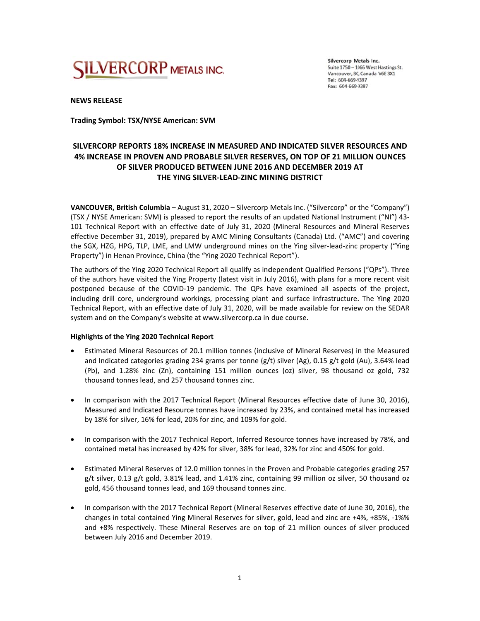

Silvercorp Metals Inc. Suite 1750 - 1066 West Hastings St. Vancouver, BC, Canada V6E 3X1 Tel: 604-669-9397 Fax: 604-669-9387

**NEWS S RELEASE** 

**Tradin ng Symbol: TS SX/NYSE Ame rican: SVM** 

# SILVERCORP REPORTS 18% INCREASE IN MEASURED AND INDICATED SILVER RESOURCES AND SILVERCORP REPORTS 18% INCREASE IN MEASURED AND INDICATED SILVER RESOURCES AND<br>4% INCREASE IN PROVEN AND PROBABLE SILVER RESERVES, ON TOP OF 21 MILLION OUNCES OF SILVER PRODUCED BETWEEN JUNE 2016 AND DECEMBER 2019 AT **THE YI NG SILVER‐LE EAD‐ZINC MI NING DISTRI CT**

VANCOUVER, British Columbia – August 31, 2020 – Silvercorp Metals Inc. ("Silvercorp" or the "Company") (TSX / NYSE American: SVM) is pleased to report the results of an updated National Instrument ("NI") 43-101 Technical Report with an effective date of July 31, 2020 (Mineral Resources and Mineral Reserves effective December 31, 2019), prepared by AMC Mining Consultants (Canada) Ltd. ("AMC") and covering the SGX, HZG, HPG, TLP, LME, and LMW underground mines on the Ying silver-lead-zinc property ("Ying Property") in Henan Province, China (the "Ying 2020 Technical Report").

The authors of the Ying 2020 Technical Report all qualify as independent Qualified Persons ("QPs"). Three of the authors have visited the Ying Property (latest visit in July 2016), with plans for a more recent visit postponed because of the COVID-19 pandemic. The QPs have examined all aspects of the project, including drill core, underground workings, processing plant and surface infrastructure. The Ying 2020 Technical Report, with an effective date of July 31, 2020, will be made available for review on the SEDAR system and on the Company's website at www.silvercorp.ca in due course.

### **Highlights of the Ying 2020 Technical Report**

- Estimated Mineral Resources of 20.1 million tonnes (inclusive of Mineral Reserves) in the Measured and Indicated categories grading 234 grams per tonne (g/t) silver (Ag), 0.15 g/t gold (Au), 3.64% lead (Pb), and 1.28% zinc (Zn), containing 151 million ounces (oz) silver, 98 thousand oz gold, 732 thousand tonnes lead, and 257 thousand tonnes zinc.
- In comparison with the 2017 Technical Report (Mineral Resources effective date of June 30, 2016), Measured and Indicated Resource tonnes have increased by 23%, and contained metal has increased by 18% for silver, 16% for lead, 20% for zinc, and 109% for gold.
- In comparison with the 2017 Technical Report, Inferred Resource tonnes have increased by 78%, and contained metal has increased by 42% for silver, 38% for lead, 32% for zinc and 450% for gold.
- $\bullet$ g/t silver, 0.13 g/t gold, 3.81% lead, and 1.41% zinc, containing 99 million oz silver, 50 thousand oz gold, 456 thousand tonnes lead, and 169 thousand tonnes zinc. stimated Mineral Reserves of 12.0 million tonnes in the Proven and Probable categories grading 257
- In comparison with the 2017 Technical Report (Mineral Reserves effective date of June 30, 2016), the changes in total contained Ying Mineral Reserves for silver, gold, lead and zinc are +4%, +85%, -1%% and +8% respectively. These Mineral Reserves are on top of 21 million ounces of silver produced between July 2016 and December 2019.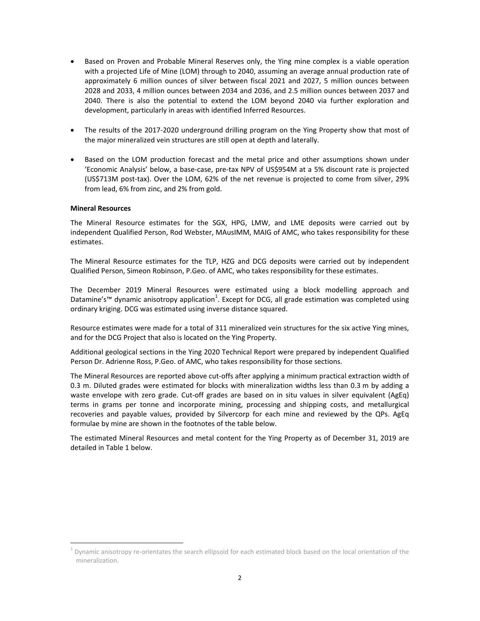- Based on Proven and Probable Mineral Reserves only, the Ying mine complex is a viable operation with a projected Life of Mine (LOM) through to 2040, assuming an average annual production rate of approximately 6 million ounces of silver between fiscal 2021 and 2027, 5 million ounces between 2028 and 2033, 4 million ounces between 2034 and 2036, and 2.5 million ounces between 2037 and 2040. There is also the potential to extend the LOM beyond 2040 via further exploration and development, particularly in areas with identified Inferred Resources.
- The results of the 2017‐2020 underground drilling program on the Ying Property show that most of the major mineralized vein structures are still open at depth and laterally.
- Based on the LOM production forecast and the metal price and other assumptions shown under 'Economic Analysis' below, a base‐case, pre‐tax NPV of US\$954M at a 5% discount rate is projected (US\$713M post‐tax). Over the LOM, 62% of the net revenue is projected to come from silver, 29% from lead, 6% from zinc, and 2% from gold.

#### **Mineral Resources**

 $\overline{a}$ 

The Mineral Resource estimates for the SGX, HPG, LMW, and LME deposits were carried out by independent Qualified Person, Rod Webster, MAusIMM, MAIG of AMC, who takes responsibility for these estimates.

The Mineral Resource estimates for the TLP, HZG and DCG deposits were carried out by independent Qualified Person, Simeon Robinson, P.Geo. of AMC, who takes responsibility for these estimates.

The December 2019 Mineral Resources were estimated using a block modelling approach and Datamine's™ dynamic anisotropy application<sup>1</sup>. Except for DCG, all grade estimation was completed using ordinary kriging. DCG was estimated using inverse distance squared.

Resource estimates were made for a total of 311 mineralized vein structures for the six active Ying mines, and for the DCG Project that also is located on the Ying Property.

Additional geological sections in the Ying 2020 Technical Report were prepared by independent Qualified Person Dr. Adrienne Ross, P.Geo. of AMC, who takes responsibility for those sections.

The Mineral Resources are reported above cut-offs after applying a minimum practical extraction width of 0.3 m. Diluted grades were estimated for blocks with mineralization widths less than 0.3 m by adding a waste envelope with zero grade. Cut-off grades are based on in situ values in silver equivalent (AgEq) terms in grams per tonne and incorporate mining, processing and shipping costs, and metallurgical recoveries and payable values, provided by Silvercorp for each mine and reviewed by the QPs. AgEq formulae by mine are shown in the footnotes of the table below.

The estimated Mineral Resources and metal content for the Ying Property as of December 31, 2019 are detailed in Table 1 below.

 $1$  Dynamic anisotropy re-orientates the search ellipsoid for each estimated block based on the local orientation of the mineralization.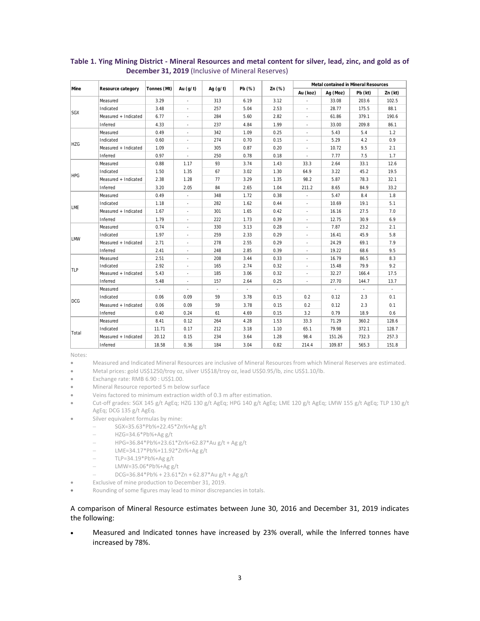| Mine       |                          | Tonnes (Mt) | Au $(q/t)$               | Ag $(g/t)$               | Pb (%)                   | Zn (%)                   | Metal contained in Mineral Resources |          |                          |         |
|------------|--------------------------|-------------|--------------------------|--------------------------|--------------------------|--------------------------|--------------------------------------|----------|--------------------------|---------|
|            | <b>Resource category</b> |             |                          |                          |                          |                          | Au (koz)                             | Ag (Moz) | Pb (kt)                  | Zn (kt) |
| <b>SGX</b> | Measured                 | 3.29        | ×.                       | 313                      | 6.19                     | 3.12                     |                                      | 33.08    | 203.6                    | 102.5   |
|            | Indicated                | 3.48        | ٠                        | 257                      | 5.04                     | 2.53                     | ÷,                                   | 28.77    | 175.5                    | 88.1    |
|            | Measured + Indicated     | 6.77        | ٠                        | 284                      | 5.60                     | 2.82                     | $\overline{\phantom{a}}$             | 61.86    | 379.1                    | 190.6   |
|            | Inferred                 | 4.33        |                          | 237                      | 4.84                     | 1.99                     |                                      | 33.00    | 209.8                    | 86.1    |
| <b>HZG</b> | Measured                 | 0.49        | ٠                        | 342                      | 1.09                     | 0.25                     | ٠                                    | 5.43     | 5.4                      | 1.2     |
|            | Indicated                | 0.60        | ä,                       | 274                      | 0.70                     | 0.15                     | ÷,                                   | 5.29     | 4.2                      | 0.9     |
|            | Measured + Indicated     | 1.09        |                          | 305                      | 0.87                     | 0.20                     |                                      | 10.72    | 9.5                      | 2.1     |
|            | Inferred                 | 0.97        | $\sim$                   | 250                      | 0.78                     | 0.18                     | $\overline{\phantom{a}}$             | 7.77     | 7.5                      | 1.7     |
| <b>HPG</b> | Measured                 | 0.88        | 1.17                     | 93                       | 3.74                     | 1.43                     | 33.3                                 | 2.64     | 33.1                     | 12.6    |
|            | Indicated                | 1.50        | 1.35                     | 67                       | 3.02                     | 1.30                     | 64.9                                 | 3.22     | 45.2                     | 19.5    |
|            | Measured + Indicated     | 2.38        | 1.28                     | 77                       | 3.29                     | 1.35                     | 98.2                                 | 5.87     | 78.3                     | 32.1    |
|            | Inferred                 | 3.20        | 2.05                     | 84                       | 2.65                     | 1.04                     | 211.2                                | 8.65     | 84.9                     | 33.2    |
| LME        | Measured                 | 0.49        | $\sim$                   | 348                      | 1.72                     | 0.38                     | $\overline{\phantom{a}}$             | 5.47     | 8.4                      | 1.8     |
|            | Indicated                | 1.18        | $\overline{\phantom{a}}$ | 282                      | 1.62                     | 0.44                     | $\overline{\phantom{a}}$             | 10.69    | 19.1                     | 5.1     |
|            | Measured + Indicated     | 1.67        |                          | 301                      | 1.65                     | 0.42                     |                                      | 16.16    | 27.5                     | 7.0     |
|            | Inferred                 | 1.79        | ٠                        | 222                      | 1.73                     | 0.39                     | ٠                                    | 12.75    | 30.9                     | 6.9     |
| LMW        | Measured                 | 0.74        | ä,                       | 330                      | 3.13                     | 0.28                     | ÷,                                   | 7.87     | 23.2                     | 2.1     |
|            | Indicated                | 1.97        |                          | 259                      | 2.33                     | 0.29                     |                                      | 16.41    | 45.9                     | 5.8     |
|            | Measured + Indicated     | 2.71        | ×.                       | 278                      | 2.55                     | 0.29                     | ٠                                    | 24.29    | 69.1                     | 7.9     |
|            | Inferred                 | 2.41        | ٠                        | 248                      | 2.85                     | 0.39                     |                                      | 19.22    | 68.6                     | 9.5     |
| TLP        | Measured                 | 2.51        | ٠                        | 208                      | 3.44                     | 0.33                     | ÷                                    | 16.79    | 86.5                     | 8.3     |
|            | Indicated                | 2.92        |                          | 165                      | 2.74                     | 0.32                     |                                      | 15.48    | 79.9                     | 9.2     |
|            | Measured + Indicated     | 5.43        | $\overline{\phantom{a}}$ | 185                      | 3.06                     | 0.32                     | ÷,                                   | 32.27    | 166.4                    | 17.5    |
|            | Inferred                 | 5.48        | ä,                       | 157                      | 2.64                     | 0.25                     | ÷,                                   | 27.70    | 144.7                    | 13.7    |
| <b>DCG</b> | Measured                 | $\sim$      | ٠                        | $\overline{\phantom{a}}$ | $\overline{\phantom{a}}$ | $\overline{\phantom{a}}$ |                                      | $\sim$   | $\overline{\phantom{a}}$ | $\sim$  |
|            | Indicated                | 0.06        | 0.09                     | 59                       | 3.78                     | 0.15                     | 0.2                                  | 0.12     | 2.3                      | 0.1     |
|            | Measured + Indicated     | 0.06        | 0.09                     | 59                       | 3.78                     | 0.15                     | 0.2                                  | 0.12     | 2.3                      | 0.1     |
|            | Inferred                 | 0.40        | 0.24                     | 61                       | 4.69                     | 0.15                     | 3.2                                  | 0.79     | 18.9                     | 0.6     |
| Total      | Measured                 | 8.41        | 0.12                     | 264                      | 4.28                     | 1.53                     | 33.3                                 | 71.29    | 360.2                    | 128.6   |
|            | Indicated                | 11.71       | 0.17                     | 212                      | 3.18                     | 1.10                     | 65.1                                 | 79.98    | 372.1                    | 128.7   |
|            | Measured + Indicated     | 20.12       | 0.15                     | 234                      | 3.64                     | 1.28                     | 98.4                                 | 151.26   | 732.3                    | 257.3   |
|            | Inferred                 | 18.58       | 0.36                     | 184                      | 3.04                     | 0.82                     | 214.4                                | 109.87   | 565.3                    | 151.8   |

## **Table 1. Ying Mining District ‐ Mineral Resources and metal content for silver, lead, zinc, and gold as of December 31, 2019** (Inclusive of Mineral Reserves)

Notes:

Measured and Indicated Mineral Resources are inclusive of Mineral Resources from which Mineral Reserves are estimated.

Metal prices: gold US\$1250/troy oz, silver US\$18/troy oz, lead US\$0.95/lb, zinc US\$1.10/lb.

- Exchange rate: RMB 6.90 : US\$1.00.
- Mineral Resource reported 5 m below surface
- Veins factored to minimum extraction width of 0.3 m after estimation.
- · Cut-off grades: SGX 145 g/t AgEq; HZG 130 g/t AgEq; HPG 140 g/t AgEq; LME 120 g/t AgEq; LMW 155 g/t AgEq; TLP 130 g/t AgEq; DCG 135 g/t AgEq.
- Silver equivalent formulas by mine:
	- SGX=35.63\*Pb%+22.45\*Zn%+Ag g/t
	- HZG=34.6\*Pb%+Ag g/t
	- HPG=36.84\*Pb%+23.61\*Zn%+62.87\*Au g/t + Ag g/t
	- LME=34.17\*Pb%+11.92\*Zn%+Ag g/t
	- $-$  TLP=34.19\*Pb%+Ag g/t
	- LMW=35.06\*Pb%+Ag g/t
	- DCG=36.84\*Pb% + 23.61\*Zn + 62.87\*Au g/t + Ag g/t
- Exclusive of mine production to December 31, 2019.
- Rounding of some figures may lead to minor discrepancies in totals.

### A comparison of Mineral Resource estimates between June 30, 2016 and December 31, 2019 indicates the following:

• Measured and Indicated tonnes have increased by 23% overall, while the Inferred tonnes have increased by 78%.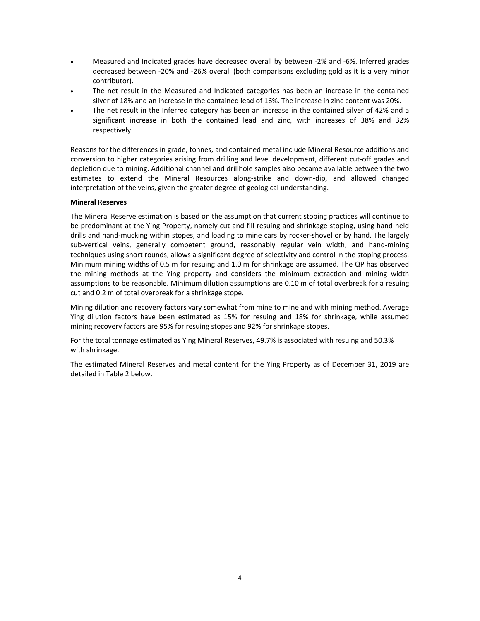- Measured and Indicated grades have decreased overall by between ‐2% and ‐6%. Inferred grades decreased between ‐20% and ‐26% overall (both comparisons excluding gold as it is a very minor contributor).
- The net result in the Measured and Indicated categories has been an increase in the contained silver of 18% and an increase in the contained lead of 16%. The increase in zinc content was 20%.
- The net result in the Inferred category has been an increase in the contained silver of 42% and a significant increase in both the contained lead and zinc, with increases of 38% and 32% respectively.

Reasons for the differences in grade, tonnes, and contained metal include Mineral Resource additions and conversion to higher categories arising from drilling and level development, different cut‐off grades and depletion due to mining. Additional channel and drillhole samples also became available between the two estimates to extend the Mineral Resources along-strike and down-dip, and allowed changed interpretation of the veins, given the greater degree of geological understanding.

#### **Mineral Reserves**

The Mineral Reserve estimation is based on the assumption that current stoping practices will continue to be predominant at the Ying Property, namely cut and fill resuing and shrinkage stoping, using hand‐held drills and hand‐mucking within stopes, and loading to mine cars by rocker‐shovel or by hand. The largely sub-vertical veins, generally competent ground, reasonably regular vein width, and hand-mining techniques using short rounds, allows a significant degree of selectivity and control in the stoping process. Minimum mining widths of 0.5 m for resuing and 1.0 m for shrinkage are assumed. The QP has observed the mining methods at the Ying property and considers the minimum extraction and mining width assumptions to be reasonable. Minimum dilution assumptions are 0.10 m of total overbreak for a resuing cut and 0.2 m of total overbreak for a shrinkage stope.

Mining dilution and recovery factors vary somewhat from mine to mine and with mining method. Average Ying dilution factors have been estimated as 15% for resuing and 18% for shrinkage, while assumed mining recovery factors are 95% for resuing stopes and 92% for shrinkage stopes.

For the total tonnage estimated as Ying Mineral Reserves, 49.7% is associated with resuing and 50.3% with shrinkage.

The estimated Mineral Reserves and metal content for the Ying Property as of December 31, 2019 are detailed in Table 2 below.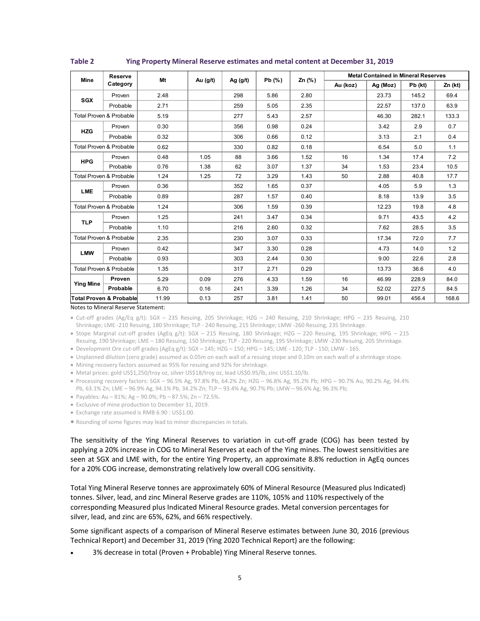| <b>Mine</b>                        | <b>Reserve</b><br>Category | Mt    | Au $(g/t)$ | Ag $(g/t)$ | Pb(% ) | Zn $(\%)$ | <b>Metal Contained in Mineral Reserves</b> |          |         |         |
|------------------------------------|----------------------------|-------|------------|------------|--------|-----------|--------------------------------------------|----------|---------|---------|
|                                    |                            |       |            |            |        |           | Au (koz)                                   | Ag (Moz) | Pb (kt) | Zn (kt) |
| <b>SGX</b>                         | Proven                     | 2.48  |            | 298        | 5.86   | 2.80      |                                            | 23.73    | 145.2   | 69.4    |
|                                    | Probable                   | 2.71  |            | 259        | 5.05   | 2.35      |                                            | 22.57    | 137.0   | 63.9    |
| Total Proven & Probable            |                            | 5.19  |            | 277        | 5.43   | 2.57      |                                            | 46.30    | 282.1   | 133.3   |
| <b>HZG</b>                         | Proven                     | 0.30  |            | 356        | 0.98   | 0.24      |                                            | 3.42     | 2.9     | 0.7     |
|                                    | Probable                   | 0.32  |            | 306        | 0.66   | 0.12      |                                            | 3.13     | 2.1     | 0.4     |
| <b>Total Proven &amp; Probable</b> |                            | 0.62  |            | 330        | 0.82   | 0.18      |                                            | 6.54     | 5.0     | 1.1     |
| <b>HPG</b>                         | Proven                     | 0.48  | 1.05       | 88         | 3.66   | 1.52      | 16                                         | 1.34     | 17.4    | 7.2     |
|                                    | Probable                   | 0.76  | 1.38       | 62         | 3.07   | 1.37      | 34                                         | 1.53     | 23.4    | 10.5    |
| <b>Total Proven &amp; Probable</b> |                            | 1.24  | 1.25       | 72         | 3.29   | 1.43      | 50                                         | 2.88     | 40.8    | 17.7    |
| <b>LME</b>                         | Proven                     | 0.36  |            | 352        | 1.65   | 0.37      |                                            | 4.05     | 5.9     | 1.3     |
|                                    | Probable                   | 0.89  |            | 287        | 1.57   | 0.40      |                                            | 8.18     | 13.9    | 3.5     |
| Total Proven & Probable            |                            | 1.24  |            | 306        | 1.59   | 0.39      |                                            | 12.23    | 19.8    | 4.8     |
| <b>TLP</b>                         | Proven                     | 1.25  |            | 241        | 3.47   | 0.34      |                                            | 9.71     | 43.5    | 4.2     |
|                                    | Probable                   | 1.10  |            | 216        | 2.60   | 0.32      |                                            | 7.62     | 28.5    | 3.5     |
| Total Proven & Probable            |                            | 2.35  |            | 230        | 3.07   | 0.33      |                                            | 17.34    | 72.0    | 7.7     |
| <b>LMW</b>                         | Proven                     | 0.42  |            | 347        | 3.30   | 0.28      |                                            | 4.73     | 14.0    | 1.2     |
|                                    | Probable                   | 0.93  |            | 303        | 2.44   | 0.30      |                                            | 9.00     | 22.6    | 2.8     |
| <b>Total Proven &amp; Probable</b> |                            | 1.35  |            | 317        | 2.71   | 0.29      |                                            | 13.73    | 36.6    | 4.0     |
| <b>Ying Mine</b>                   | Proven                     | 5.29  | 0.09       | 276        | 4.33   | 1.59      | 16                                         | 46.99    | 228.9   | 84.0    |
|                                    | Probable                   | 6.70  | 0.16       | 241        | 3.39   | 1.26      | 34                                         | 52.02    | 227.5   | 84.5    |
| Total Proven & Probable            |                            | 11.99 | 0.13       | 257        | 3.81   | 1.41      | 50                                         | 99.01    | 456.4   | 168.6   |

**Table 2 Ying Property Mineral Reserve estimates and metal content at December 31, 2019** 

Notes to Mineral Reserve Statement:

● Cut-off grades (Ag/Eq g/t): SGX - 235 Resuing, 205 Shrinkage; HZG - 240 Resuing, 210 Shrinkage; HPG - 235 Resuing, 210 Shrinkage; LME ‐210 Resuing, 180 Shrinkage; TLP ‐ 240 Resuing, 215 Shrinkage; LMW ‐260 Resuing, 235 Shrinkage.

· Stope Marginal cut-off grades (AgEq g/t): SGX - 215 Resuing, 180 Shrinkage; HZG - 220 Resuing, 195 Shrinkage; HPG - 215 Resuing, 190 Shrinkage; LME – 180 Resuing, 150 Shrinkage; TLP ‐ 220 Resuing, 195 Shrinkage; LMW ‐230 Resuing, 205 Shrinkage.

Development Ore cut‐off grades (AgEq g/t): SGX – 145; HZG – 150; HPG – 145; LME ‐ 120; TLP ‐ 150; LMW ‐ 165.

Unplanned dilution (zero grade) assumed as 0.05m on each wall of a resuing stope and 0.10m on each wall of a shrinkage stope.

Mining recovery factors assumed as 95% for resuing and 92% for shrinkage.

Metal prices: gold US\$1,250/troy oz, silver US\$18/troy oz, lead US\$0.95/lb, zinc US\$1.10/lb.

 Processing recovery factors: SGX – 96.5% Ag, 97.8% Pb, 64.2% Zn; HZG – 96.8% Ag, 95.2% Pb; HPG – 90.7% Au, 90.2% Ag, 94.4% Pb, 63.1% Zn; LME – 96.9% Ag, 94.1% Pb, 34.2% Zn; TLP – 93.4% Ag, 90.7% Pb; LMW – 96.6% Ag, 96.3% Pb;

 $\bullet$  Payables: Au - 81%; Ag - 90.0%; Pb - 87.5%; Zn - 72.5%.

Exclusive of mine production to December 31, 2019.

Exchange rate assumed is RMB 6.90 : US\$1.00.

Rounding of some figures may lead to minor discrepancies in totals.

The sensitivity of the Ying Mineral Reserves to variation in cut-off grade (COG) has been tested by applying a 20% increase in COG to Mineral Reserves at each of the Ying mines. The lowest sensitivities are seen at SGX and LME with, for the entire Ying Property, an approximate 8.8% reduction in AgEq ounces for a 20% COG increase, demonstrating relatively low overall COG sensitivity.

Total Ying Mineral Reserve tonnes are approximately 60% of Mineral Resource (Measured plus Indicated) tonnes. Silver, lead, and zinc Mineral Reserve grades are 110%, 105% and 110% respectively of the corresponding Measured plus Indicated Mineral Resource grades. Metal conversion percentages for silver, lead, and zinc are 65%, 62%, and 66% respectively.

Some significant aspects of a comparison of Mineral Reserve estimates between June 30, 2016 (previous Technical Report) and December 31, 2019 (Ying 2020 Technical Report) are the following:

3% decrease in total (Proven + Probable) Ying Mineral Reserve tonnes.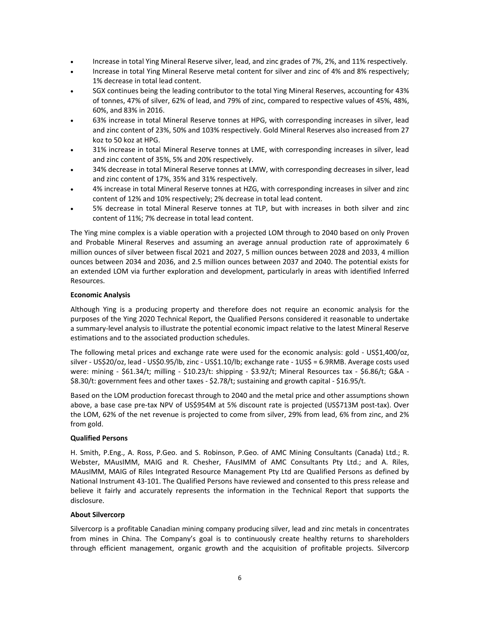- Increase in total Ying Mineral Reserve silver, lead, and zinc grades of 7%, 2%, and 11% respectively.
- Increase in total Ying Mineral Reserve metal content for silver and zinc of 4% and 8% respectively; 1% decrease in total lead content.
- SGX continues being the leading contributor to the total Ying Mineral Reserves, accounting for 43% of tonnes, 47% of silver, 62% of lead, and 79% of zinc, compared to respective values of 45%, 48%, 60%, and 83% in 2016.
- 63% increase in total Mineral Reserve tonnes at HPG, with corresponding increases in silver, lead and zinc content of 23%, 50% and 103% respectively. Gold Mineral Reserves also increased from 27 koz to 50 koz at HPG.
- 31% increase in total Mineral Reserve tonnes at LME, with corresponding increases in silver, lead and zinc content of 35%, 5% and 20% respectively.
- 34% decrease in total Mineral Reserve tonnes at LMW, with corresponding decreases in silver, lead and zinc content of 17%, 35% and 31% respectively.
- 4% increase in total Mineral Reserve tonnes at HZG, with corresponding increases in silver and zinc content of 12% and 10% respectively; 2% decrease in total lead content.
- 5% decrease in total Mineral Reserve tonnes at TLP, but with increases in both silver and zinc content of 11%; 7% decrease in total lead content.

The Ying mine complex is a viable operation with a projected LOM through to 2040 based on only Proven and Probable Mineral Reserves and assuming an average annual production rate of approximately 6 million ounces of silver between fiscal 2021 and 2027, 5 million ounces between 2028 and 2033, 4 million ounces between 2034 and 2036, and 2.5 million ounces between 2037 and 2040. The potential exists for an extended LOM via further exploration and development, particularly in areas with identified Inferred Resources.

### **Economic Analysis**

Although Ying is a producing property and therefore does not require an economic analysis for the purposes of the Ying 2020 Technical Report, the Qualified Persons considered it reasonable to undertake a summary‐level analysis to illustrate the potential economic impact relative to the latest Mineral Reserve estimations and to the associated production schedules.

The following metal prices and exchange rate were used for the economic analysis: gold - US\$1,400/oz, silver ‐ US\$20/oz, lead ‐ US\$0.95/lb, zinc ‐ US\$1.10/lb; exchange rate ‐ 1US\$ = 6.9RMB. Average costs used were: mining - \$61.34/t; milling - \$10.23/t: shipping - \$3.92/t; Mineral Resources tax - \$6.86/t; G&A -\$8.30/t: government fees and other taxes - \$2.78/t; sustaining and growth capital - \$16.95/t.

Based on the LOM production forecast through to 2040 and the metal price and other assumptions shown above, a base case pre-tax NPV of US\$954M at 5% discount rate is projected (US\$713M post-tax). Over the LOM, 62% of the net revenue is projected to come from silver, 29% from lead, 6% from zinc, and 2% from gold.

### **Qualified Persons**

H. Smith, P.Eng., A. Ross, P.Geo. and S. Robinson, P.Geo. of AMC Mining Consultants (Canada) Ltd.; R. Webster, MAusIMM, MAIG and R. Chesher, FAusIMM of AMC Consultants Pty Ltd.; and A. Riles, MAusIMM, MAIG of Riles Integrated Resource Management Pty Ltd are Qualified Persons as defined by National Instrument 43‐101. The Qualified Persons have reviewed and consented to this press release and believe it fairly and accurately represents the information in the Technical Report that supports the disclosure.

### **About Silvercorp**

Silvercorp is a profitable Canadian mining company producing silver, lead and zinc metals in concentrates from mines in China. The Company's goal is to continuously create healthy returns to shareholders through efficient management, organic growth and the acquisition of profitable projects. Silvercorp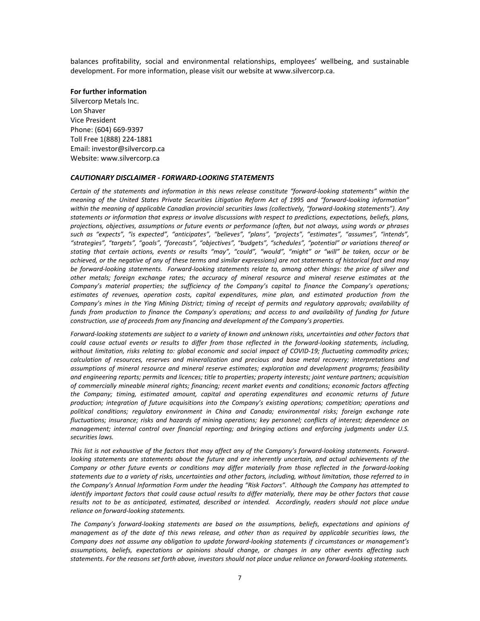balances profitability, social and environmental relationships, employees' wellbeing, and sustainable development. For more information, please visit our website at www.silvercorp.ca.

#### **For further information**

Silvercorp Metals Inc. Lon Shaver Vice President Phone: (604) 669‐9397 Toll Free 1(888) 224‐1881 Email: investor@silvercorp.ca Website: www.silvercorp.ca

#### *CAUTIONARY DISCLAIMER ‐ FORWARD‐LOOKING STATEMENTS*

Certain of the statements and information in this news release constitute "forward-looking statements" within the *meaning of the United States Private Securities Litigation Reform Act of 1995 and "forward‐looking information" within the meaning of applicable Canadian provincial securities laws (collectively, "forward‐looking statements"). Any statements or information that express or involve discussions with respect to predictions, expectations, beliefs, plans, projections, objectives, assumptions or future events or performance (often, but not always, using words or phrases such as "expects", "is expected", "anticipates", "believes", "plans", "projects", "estimates", "assumes", "intends", "strategies", "targets", "goals", "forecasts", "objectives", "budgets", "schedules", "potential" or variations thereof or stating that certain actions, events or results "may", "could", "would", "might" or "will" be taken, occur or be achieved, or the negative of any of these terms and similar expressions) are not statements of historical fact and may be forward‐looking statements. Forward‐looking statements relate to, among other things: the price of silver and other metals; foreign exchange rates; the accuracy of mineral resource and mineral reserve estimates at the Company's material properties; the sufficiency of the Company's capital to finance the Company's operations; estimates of revenues, operation costs, capital expenditures, mine plan, and estimated production from the*  Company's mines in the Ying Mining District; timing of receipt of permits and regulatory approvals; availability of *funds from production to finance the Company's operations; and access to and availability of funding for future construction, use of proceeds from any financing and development of the Company's properties.* 

*Forward‐looking statements are subject to a variety of known and unknown risks, uncertainties and other factors that could cause actual events or results to differ from those reflected in the forward‐looking statements, including, without limitation, risks relating to: global economic and social impact of COVID‐19; fluctuating commodity prices; calculation of resources, reserves and mineralization and precious and base metal recovery; interpretations and assumptions of mineral resource and mineral reserve estimates; exploration and development programs; feasibility and engineering reports; permits and licences; title to properties; property interests; joint venture partners; acquisition of commercially mineable mineral rights; financing; recent market events and conditions; economic factors affecting the Company; timing, estimated amount, capital and operating expenditures and economic returns of future production; integration of future acquisitions into the Company's existing operations; competition; operations and political conditions; regulatory environment in China and Canada; environmental risks; foreign exchange rate fluctuations; insurance; risks and hazards of mining operations; key personnel; conflicts of interest; dependence on management; internal control over financial reporting; and bringing actions and enforcing judgments under U.S. securities laws.* 

*This list is not exhaustive of the factors that may affect any of the Company's forward‐looking statements. Forward‐ looking statements are statements about the future and are inherently uncertain, and actual achievements of the Company or other future events or conditions may differ materially from those reflected in the forward‐looking statements due to a variety of risks, uncertainties and other factors, including, without limitation, those referred to in the Company's Annual Information Form under the heading "Risk Factors". Although the Company has attempted to identify important factors that could cause actual results to differ materially, there may be other factors that cause results not to be as anticipated, estimated, described or intended. Accordingly, readers should not place undue reliance on forward‐looking statements.* 

*The Company's forward‐looking statements are based on the assumptions, beliefs, expectations and opinions of management as of the date of this news release, and other than as required by applicable securities laws, the Company does not assume any obligation to update forward‐looking statements if circumstances or management's assumptions, beliefs, expectations or opinions should change, or changes in any other events affecting such statements. For the reasons set forth above, investors should not place undue reliance on forward‐looking statements.*